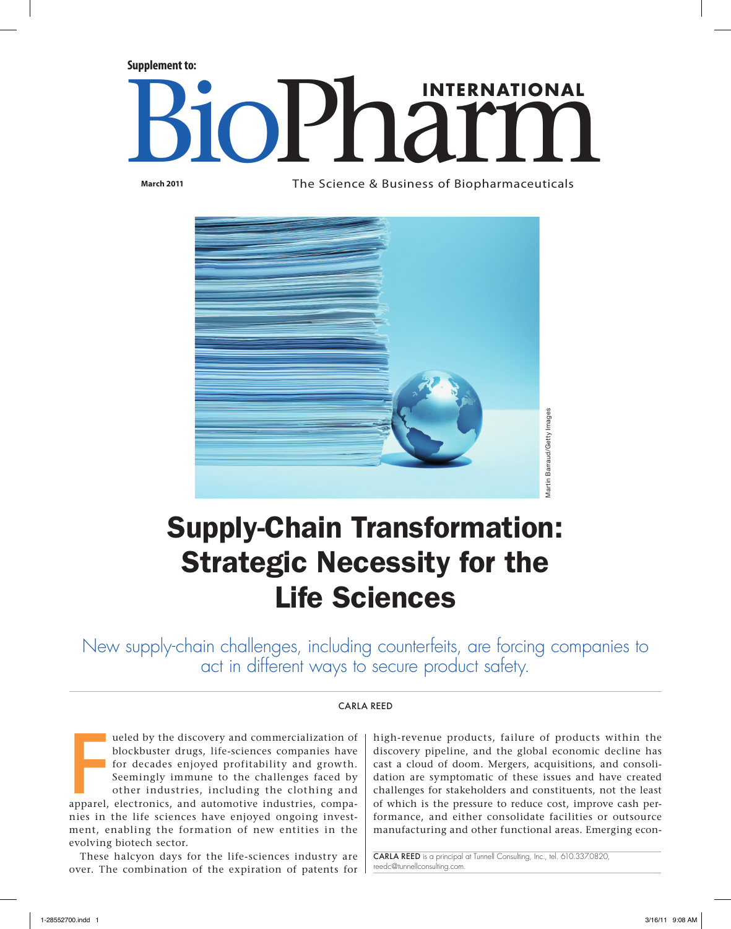**Supplement to:**

# **BioPharmaceuticals INTERNATIONAL**

**March 2011**

The Science & Business of Biopharmaceuticals



## Supply-Chain Transformation: Strategic Necessity for the Life Sciences

New supply-chain challenges, including counterfeits, are forcing companies to act in different ways to secure product safety.

#### Carla Reed

The discovery and commercialization of blockbuster drugs, life-sciences companies have for decades enjoyed profitability and growth.<br>Seemingly immune to the challenges faced by other industries, including the clothing and ueled by the discovery and commercialization of blockbuster drugs, life-sciences companies have for decades enjoyed profitability and growth. Seemingly immune to the challenges faced by other industries, including the clothing and nies in the life sciences have enjoyed ongoing investment, enabling the formation of new entities in the evolving biotech sector.

These halcyon days for the life-sciences industry are over. The combination of the expiration of patents for

high-revenue products, failure of products within the discovery pipeline, and the global economic decline has cast a cloud of doom. Mergers, acquisitions, and consolidation are symptomatic of these issues and have created challenges for stakeholders and constituents, not the least of which is the pressure to reduce cost, improve cash performance, and either consolidate facilities or outsource manufacturing and other functional areas. Emerging econ-

Carla Reed is a principal at Tunnell Consulting, Inc., tel. 610.337.0820, [reedc@tunnellconsulting.com.](mailto:reedc@tunnellconsulting.com)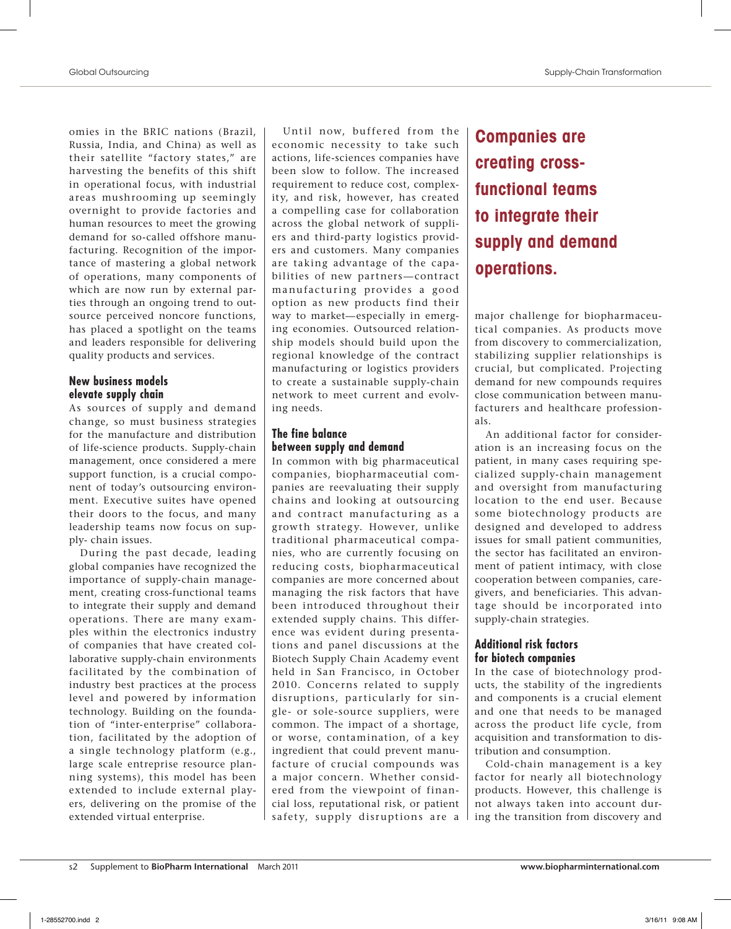omies in the BRIC nations (Brazil, Russia, India, and China) as well as their satellite "factory states," are harvesting the benefits of this shift in operational focus, with industrial areas mushrooming up seemingly overnight to provide factories and human resources to meet the growing demand for so-called offshore manufacturing. Recognition of the importance of mastering a global network of operations, many components of which are now run by external parties through an ongoing trend to outsource perceived noncore functions, has placed a spotlight on the teams and leaders responsible for delivering quality products and services.

#### **New business models elevate supply chain**

As sources of supply and demand change, so must business strategies for the manufacture and distribution of life-science products. Supply-chain management, once considered a mere support function, is a crucial component of today's outsourcing environment. Executive suites have opened their doors to the focus, and many leadership teams now focus on supply- chain issues.

During the past decade, leading global companies have recognized the importance of supply-chain management, creating cross-functional teams to integrate their supply and demand operations. There are many examples within the electronics industry of companies that have created collaborative supply-chain environments facilitated by the combination of industry best practices at the process level and powered by information technology. Building on the foundation of "inter-enterprise" collaboration, facilitated by the adoption of a single technology platform (e.g., large scale entreprise resource planning systems), this model has been extended to include external players, delivering on the promise of the extended virtual enterprise.

Until now, buffered from the economic necessity to take such actions, life-sciences companies have been slow to follow. The increased requirement to reduce cost, complexity, and risk, however, has created a compelling case for collaboration across the global network of suppliers and third-party logistics providers and customers. Many companies are taking advantage of the capabilities of new partners—contract manufacturing provides a good option as new products find their way to market—especially in emerging economies. Outsourced relationship models should build upon the regional knowledge of the contract manufacturing or logistics providers to create a sustainable supply-chain network to meet current and evolving needs.

#### **The fine balance between supply and demand**

In common with big pharmaceutical companies, biopharmaceutial companies are reevaluating their supply chains and looking at outsourcing and contract manufacturing as a growth strategy. However, unlike traditional pharmaceutical companies, who are currently focusing on reducing costs, biopharmaceutical companies are more concerned about managing the risk factors that have been introduced throughout their extended supply chains. This difference was evident during presentations and panel discussions at the Biotech Supply Chain Academy event held in San Francisco, in October 2010. Concerns related to supply disruptions, particularly for single- or sole-source suppliers, were common. The impact of a shortage, or worse, contamination, of a key ingredient that could prevent manufacture of crucial compounds was a major concern. Whether considered from the viewpoint of financial loss, reputational risk, or patient safety, supply disruptions are a **Companies are creating crossfunctional teams to integrate their supply and demand operations.**

major challenge for biopharmaceutical companies. As products move from discovery to commercialization, stabilizing supplier relationships is crucial, but complicated. Projecting demand for new compounds requires close communication between manufacturers and healthcare professionals.

An additional factor for consideration is an increasing focus on the patient, in many cases requiring specialized supply-chain management and oversight from manufacturing location to the end user. Because some biotechnology products are designed and developed to address issues for small patient communities, the sector has facilitated an environment of patient intimacy, with close cooperation between companies, caregivers, and beneficiaries. This advantage should be incorporated into supply-chain strategies.

#### **Additional risk factors for biotech companies**

In the case of biotechnology products, the stability of the ingredients and components is a crucial element and one that needs to be managed across the product life cycle, from acquisition and transformation to distribution and consumption.

Cold-chain management is a key factor for nearly all biotechnology products. However, this challenge is not always taken into account during the transition from discovery and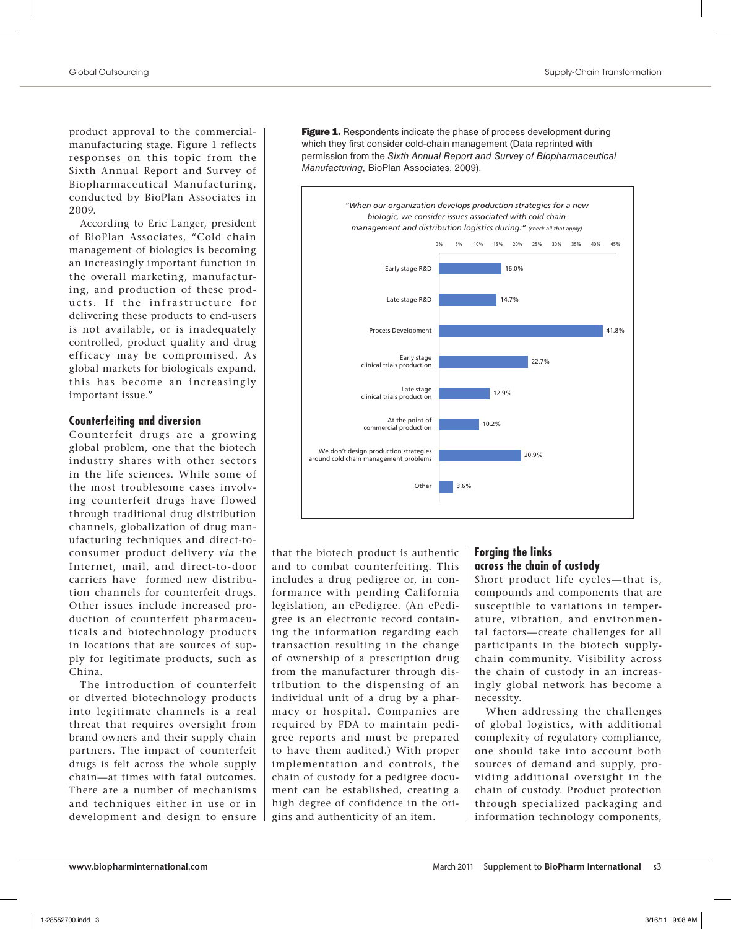product approval to the commercialmanufacturing stage. Figure 1 reflects responses on this topic from the Sixth Annual Report and Survey of Biopharmaceutical Manufacturing, conducted by BioPlan Associates in 2009.

According to Eric Langer, president of BioPlan Associates, "Cold chain management of biologics is becoming an increasingly important function in the overall marketing, manufacturing, and production of these products. If the infrastructure for delivering these products to end-users is not available, or is inadequately controlled, product quality and drug efficacy may be compromised. As global markets for biologicals expand, this has become an increasingly important issue."

#### **Counterfeiting and diversion**

Counterfeit drugs are a growing global problem, one that the biotech industry shares with other sectors in the life sciences. While some of the most troublesome cases involving counterfeit drugs have flowed through traditional drug distribution channels, globalization of drug manufacturing techniques and direct-toconsumer product delivery *via* the Internet, mail, and direct-to-door carriers have formed new distribution channels for counterfeit drugs. Other issues include increased production of counterfeit pharmaceuticals and biotechnology products in locations that are sources of supply for legitimate products, such as China.

The introduction of counterfeit or diverted biotechnology products into legitimate channels is a real threat that requires oversight from brand owners and their supply chain partners. The impact of counterfeit drugs is felt across the whole supply chain—at times with fatal outcomes. There are a number of mechanisms and techniques either in use or in development and design to ensure **Figure 1.** Respondents indicate the phase of process development during which they first consider cold-chain management (Data reprinted with permission from the *Sixth Annual Report and Survey of Biopharmaceutical Manufacturing,* BioPlan Associates, 2009).



that the biotech product is authentic and to combat counterfeiting. This includes a drug pedigree or, in conformance with pending California legislation, an ePedigree. (An ePedigree is an electronic record containing the information regarding each transaction resulting in the change of ownership of a prescription drug from the manufacturer through distribution to the dispensing of an individual unit of a drug by a pharmacy or hospital. Companies are required by FDA to maintain pedigree reports and must be prepared to have them audited.) With proper implementation and controls, the chain of custody for a pedigree document can be established, creating a high degree of confidence in the origins and authenticity of an item.

#### **Forging the links across the chain of custody**

Short product life cycles—that is, compounds and components that are susceptible to variations in temperature, vibration, and environmental factors—create challenges for all participants in the biotech supplychain community. Visibility across the chain of custody in an increasingly global network has become a necessity.

When addressing the challenges of global logistics, with additional complexity of regulatory compliance, one should take into account both sources of demand and supply, providing additional oversight in the chain of custody. Product protection through specialized packaging and information technology components,